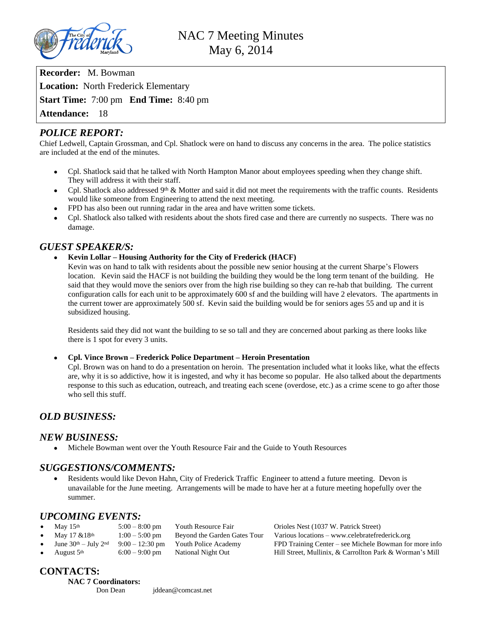

**Recorder:** M. Bowman **Location:** North Frederick Elementary **Start Time:** 7:00 pm **End Time:** 8:40 pm **Attendance:** 18

# *POLICE REPORT:*

Chief Ledwell, Captain Grossman, and Cpl. Shatlock were on hand to discuss any concerns in the area. The police statistics are included at the end of the minutes.

- Cpl. Shatlock said that he talked with North Hampton Manor about employees speeding when they change shift. They will address it with their staff.
- Cpl. Shatlock also addressed  $9<sup>th</sup>$  & Motter and said it did not meet the requirements with the traffic counts. Residents would like someone from Engineering to attend the next meeting.
- FPD has also been out running radar in the area and have written some tickets.
- Cpl. Shatlock also talked with residents about the shots fired case and there are currently no suspects. There was no damage.

# *GUEST SPEAKER/S:*

### **Kevin Lollar – Housing Authority for the City of Frederick (HACF)**

Kevin was on hand to talk with residents about the possible new senior housing at the current Sharpe's Flowers location. Kevin said the HACF is not building the building they would be the long term tenant of the building. He said that they would move the seniors over from the high rise building so they can re-hab that building. The current configuration calls for each unit to be approximately 600 sf and the building will have 2 elevators. The apartments in the current tower are approximately 500 sf. Kevin said the building would be for seniors ages 55 and up and it is subsidized housing.

Residents said they did not want the building to se so tall and they are concerned about parking as there looks like there is 1 spot for every 3 units.

#### **Cpl. Vince Brown – Frederick Police Department – Heroin Presentation**

Cpl. Brown was on hand to do a presentation on heroin. The presentation included what it looks like, what the effects are, why it is so addictive, how it is ingested, and why it has become so popular. He also talked about the departments response to this such as education, outreach, and treating each scene (overdose, etc.) as a crime scene to go after those who sell this stuff.

# *OLD BUSINESS:*

## *NEW BUSINESS:*

Michele Bowman went over the Youth Resource Fair and the Guide to Youth Resources

# *SUGGESTIONS/COMMENTS:*

 Residents would like Devon Hahn, City of Frederick Traffic Engineer to attend a future meeting. Devon is unavailable for the June meeting. Arrangements will be made to have her at a future meeting hopefully over the summer.

# *UPCOMING EVENTS:*

| May $15th$             | $5:00 - 8:00$ pm | Youth Resource Fair          | Orioles Nest (1037 W. Patrick Street)                    |
|------------------------|------------------|------------------------------|----------------------------------------------------------|
| May 17 & 18th          | $1:00 - 5:00$ pm | Beyond the Garden Gates Tour | Various locations – www.celebratefrederick.org           |
| June $30th - July 2nd$ | $9:00-12:30$ pm  | Youth Police Academy         | FPD Training Center – see Michele Bowman for more info   |
| August 5 <sup>th</sup> | $6:00 - 9:00$ pm | National Night Out           | Hill Street, Mullinix, & Carrollton Park & Worman's Mill |

# **CONTACTS:**

# **NAC 7 Coordinators:**

Don Dean [jddean@comcast.net](mailto:jddean@comcast.net)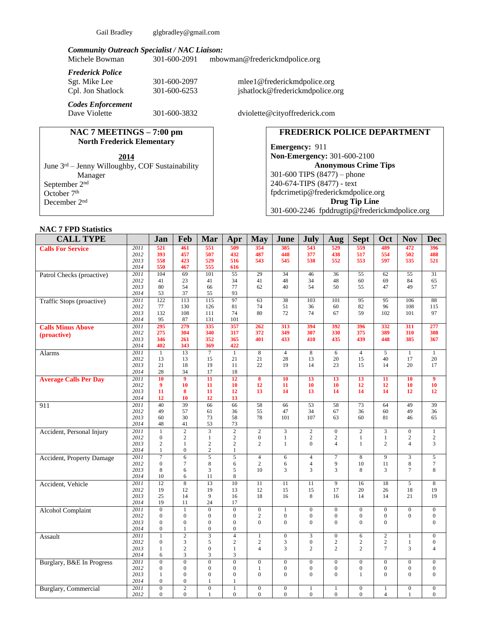Gail Bradley [glgbradley@gmail.com](mailto:glgbradley@gmail.com)

# *Community Outreach Specialist / NAC Liaison:*

[mbowman@frederickmdpolice.org](mailto:mbowman@frederickmdpolice.org)

*Frederick Police*

*Codes Enforcement*

#### **NAC 7 MEETINGS – 7:00 pm North Frederick Elementary**

June 3<sup>rd</sup> – Jenny Willoughby, COF Sustainability Manager September 2nd October 7<sup>th</sup> December 2nd

Sgt. Mike Lee 301-600-2097 [mlee1@frederickmdpolice.org](mailto:mlee1@frederickmdpolice.org)<br>
Cpl. Jon Shatlock 301-600-6253 jshatlock@frederickmdpolice.org 301-600-6253 jshatlock@frederickmdpolice.org

301-600-3832 dviolette@cityoffrederick.com

## **FREDERICK POLICE DEPARTMENT**

**Emergency:** 911 **Non-Emergency:** 301-600-2100 **Anonymous Crime Tips** 301-600 TIPS (8477) – phone 240-674-TIPS (8477) - text [fpdcrimetip@frederickmdpolice.org](mailto:fpdcrimetip@frederickmdpolice.org) **Drug Tip Line** 301-600-2246 fpddrugtip@frederickmdpolice.org

# **NAC 7 FPD Statistics**

| <b>CALL TYPE</b>             |              | Jan                      | Feb                            | Mar                                         | Apr                                | <b>May</b>                   | June                       | <b>July</b>                  | Aug                      | <b>Sept</b>                  | Oct                            | <b>Nov</b>                     | <b>Dec</b>                     |
|------------------------------|--------------|--------------------------|--------------------------------|---------------------------------------------|------------------------------------|------------------------------|----------------------------|------------------------------|--------------------------|------------------------------|--------------------------------|--------------------------------|--------------------------------|
| <b>Calls For Service</b>     | 2011         | 521                      | 461                            | 551                                         | 509                                | 354                          | 385                        | 543                          | 529                      | 559                          | 489                            | 472                            | 396                            |
|                              | 2012         | 393                      | 457                            | 507                                         | 432                                | 487                          | 448                        | 377                          | 438                      | 517                          | 554                            | 502                            | 488                            |
|                              | 2013         | 558                      | 423                            | 529                                         | 516                                | 543                          | 545                        | 538                          | 552                      | 553                          | 597                            | 535                            | 521                            |
|                              | 2014         | 550                      | 467                            | 555                                         | 616                                |                              |                            |                              |                          |                              |                                |                                |                                |
| Patrol Checks (proactive)    | 2011<br>2012 | 104<br>41                | 69<br>23                       | 101<br>41                                   | 55<br>34                           | 29<br>41                     | 34<br>48                   | 46<br>34                     | 36<br>48                 | 55<br>60                     | 62<br>69                       | 55<br>84                       | 31<br>65                       |
|                              | 2013         | 80                       | 54                             | 66                                          | 77                                 | 62                           | 40                         | 54                           | 50                       | 55                           | 47                             | 49                             | 57                             |
|                              | 2014         | 53                       | 37                             | 55                                          | 93                                 |                              |                            |                              |                          |                              |                                |                                |                                |
| Traffic Stops (proactive)    | 2011         | 122                      | 113                            | 115                                         | 97                                 | 63                           | 38                         | 103                          | 101                      | 95                           | 95                             | $\overline{106}$               | 88                             |
|                              | 2012         | 77                       | 130                            | 126                                         | 81                                 | 74                           | 51                         | 36                           | 60                       | 82                           | 96                             | 108                            | 115                            |
|                              | 2013         | 132                      | 108                            | 111                                         | 74                                 | 80                           | 72                         | 74                           | 67                       | 59                           | 102                            | 101                            | 97                             |
|                              | 2014         | 95                       | 87                             | 131                                         | 101                                |                              |                            |                              |                          |                              |                                |                                |                                |
| <b>Calls Minus Above</b>     | 2011         | 295                      | 279                            | 335                                         | 357                                | 262                          | 313                        | 394                          | 392                      | 396                          | 332                            | 311                            | 277                            |
| (proactive)                  | 2012         | 275<br>346               | 304                            | 340<br>352                                  | 317                                | 372                          | 349<br>433                 | 307                          | 330                      | 375<br>439                   | 389<br>448                     | 310                            | 308                            |
|                              | 2013<br>2014 | 402                      | 261<br>343                     | 369                                         | 365<br>422                         | 401                          |                            | 410                          | 435                      |                              |                                | 385                            | 367                            |
| <b>Alarms</b>                | 2011         | $\mathbf{1}$             | 13                             | $\overline{7}$                              | $\mathbf{1}$                       | $\overline{8}$               | $\overline{4}$             | $\overline{8}$               | 6                        | $\overline{4}$               | $\overline{5}$                 | $\mathbf{1}$                   | $\mathbf{1}$                   |
|                              | 2012         | 13                       | 13                             | 15                                          | 21                                 | 21                           | 28                         | 13                           | 20                       | 15                           | 40                             | 17                             | 20                             |
|                              | 2013         | 21                       | 18                             | 19                                          | 11                                 | 22                           | 19                         | 14                           | 23                       | 15                           | 14                             | 20                             | 17                             |
|                              | 2014         | 28                       | 34                             | 17                                          | 18                                 |                              |                            |                              |                          |                              |                                |                                |                                |
| <b>Average Calls Per Day</b> | 2011         | 10                       | 9                              | 11                                          | 12                                 | 8                            | 10                         | 13                           | 13                       | 13                           | 11                             | 10                             | $\boldsymbol{9}$               |
|                              | 2012         | 9                        | 10                             | 11                                          | 10                                 | 12                           | 11                         | 10                           | 10                       | 12                           | 12                             | 10                             | 10                             |
|                              | 2013         | 11                       | 8                              | 11                                          | 12                                 | 13                           | 14                         | 13                           | 14                       | 14                           | 14                             | 12                             | 12                             |
|                              | 2014         | 12                       | 10                             | 12                                          | 13                                 |                              |                            |                              |                          |                              |                                |                                |                                |
| 911                          | 2011<br>2012 | 40<br>49                 | 39<br>57                       | 66<br>61                                    | 66<br>36                           | 58<br>55                     | 66<br>47                   | $\overline{53}$<br>34        | 58<br>67                 | $\overline{73}$<br>36        | 64<br>60                       | 49<br>49                       | 39<br>36                       |
|                              | 2013         | 60                       | 30                             | 73                                          | 58                                 | 78                           | 101                        | 107                          | 63                       | 60                           | 81                             | 46                             | 65                             |
|                              | 2014         | 48                       | 41                             | 53                                          | 73                                 |                              |                            |                              |                          |                              |                                |                                |                                |
| Accident, Personal Injury    | 2011         | $\mathbf{1}$             | $\overline{2}$                 | $\overline{\mathbf{3}}$                     | $\overline{2}$                     | 2                            | 3                          | $\overline{c}$               | $\boldsymbol{0}$         | $\overline{2}$               | 3                              | $\overline{0}$                 | $\mathbf{1}$                   |
|                              | 2012         | $\mathbf{0}$             | $\overline{c}$                 | $\mathbf{1}$                                | $\sqrt{2}$                         | $\boldsymbol{0}$             | $\,1$                      | $\sqrt{2}$                   | $\sqrt{2}$               | $\mathbf{1}$                 | $\,1$                          | $\mathbf{2}$                   | $\sqrt{2}$                     |
|                              | 2013         | $\overline{c}$           | $\mathbf{1}$                   | $\overline{2}$                              | $\overline{c}$                     | $\overline{c}$               | $\mathbf{1}$               | $\mathbf{0}$                 | $\overline{4}$           | $\mathbf{1}$                 | $\overline{c}$                 | $\overline{4}$                 | 3                              |
|                              | 2014         | 1                        | $\mathbf{0}$                   | $\mathbf{2}$                                | $\mathbf{1}$                       |                              |                            |                              |                          |                              |                                |                                |                                |
| Accident, Property Damage    | 2011         | $\overline{7}$           | $\overline{6}$                 | $\overline{5}$                              | $\overline{5}$                     | $\overline{4}$               | 6                          | $\overline{4}$               |                          | $\overline{8}$               | $\overline{9}$                 | $\overline{\mathbf{3}}$        | $\overline{5}$                 |
|                              | 2012<br>2013 | $\overline{0}$<br>8      | $\boldsymbol{7}$<br>6          | $\,8\,$<br>3                                | 6<br>5                             | $\mathbf{2}$<br>10           | 6<br>3                     | $\overline{4}$<br>3          | 9<br>3                   | 10<br>8                      | 11<br>3                        | 8<br>$\overline{7}$            | $\boldsymbol{7}$<br>$\,8\,$    |
|                              | 2014         | 10                       | 6                              | 11                                          | 8                                  |                              |                            |                              |                          |                              |                                |                                |                                |
| Accident, Vehicle            | 2011         | 12                       | $\overline{8}$                 | 13                                          | $\overline{10}$                    | 11                           | $\overline{11}$            | 11                           | $\overline{9}$           | 16                           | 18                             | $\overline{5}$                 | $\overline{8}$                 |
|                              | 2012         | 19                       | 12                             | 19                                          | 13                                 | 12                           | 15                         | 15                           | 17                       | 20                           | 26                             | 18                             | 19                             |
|                              | 2013         | 25                       | 14                             | 9                                           | 16                                 | 18                           | 16                         | 8                            | 16                       | 14                           | 14                             | 21                             | 19                             |
|                              | 2014         | 19                       | 11                             | 24                                          | 17                                 |                              |                            |                              |                          |                              |                                |                                |                                |
| <b>Alcohol Complaint</b>     | 2011         | $\overline{0}$           | $\mathbf{1}$                   | $\overline{0}$                              | $\overline{0}$                     | $\boldsymbol{0}$             | $\mathbf{1}$               | $\overline{0}$               | $\overline{0}$           | $\overline{0}$               | $\overline{0}$                 | $\overline{0}$                 | $\mathbf{0}$                   |
|                              | 2012         | $\mathbf{0}$             | $\boldsymbol{0}$               | $\boldsymbol{0}$                            | $\boldsymbol{0}$                   | $\sqrt{2}$                   | $\boldsymbol{0}$           | $\boldsymbol{0}$             | $\boldsymbol{0}$         | $\boldsymbol{0}$             | $\boldsymbol{0}$               | $\boldsymbol{0}$               | $\boldsymbol{0}$               |
|                              | 2013         | $\mathbf{0}$             | $\mathbf{0}$                   | $\mathbf{0}$                                | $\mathbf{0}$                       | $\Omega$                     | $\mathbf{0}$               | $\mathbf{0}$                 | $\mathbf{0}$             | $\Omega$                     | $\Omega$                       |                                | $\mathbf{0}$                   |
|                              | 2014<br>2011 | $\boldsymbol{0}$<br>1    | $\mathbf{1}$<br>$\overline{2}$ | $\boldsymbol{0}$<br>$\overline{\mathbf{3}}$ | $\boldsymbol{0}$<br>$\overline{4}$ | $\mathbf{1}$                 | $\overline{0}$             | $\overline{\mathbf{3}}$      | $\overline{0}$           | $\overline{6}$               | $\overline{2}$                 | $\overline{1}$                 | $\overline{0}$                 |
| Assault                      | 2012         | $\theta$                 | 3                              | 5                                           | $\sqrt{2}$                         | $\overline{c}$               | 3                          | $\mathbf{0}$                 | $\overline{c}$           | $\sqrt{2}$                   | $\overline{c}$                 | $\mathbf{1}$                   | $\boldsymbol{0}$               |
|                              | 2013         | 1                        | $\overline{c}$                 | $\boldsymbol{0}$                            | $\mathbf{1}$                       | $\overline{4}$               | 3                          | 2                            | $\overline{2}$           | $\overline{2}$               | $\tau$                         | 3                              | $\overline{4}$                 |
|                              | 2014         | 6                        | 3                              | 3                                           | 3                                  |                              |                            |                              |                          |                              |                                |                                |                                |
| Burglary, B&E In Progress    | 2011         | $\overline{0}$           | $\overline{0}$                 | $\overline{0}$                              | $\overline{0}$                     | $\overline{0}$               | $\overline{0}$             | $\overline{0}$               | $\overline{0}$           | $\overline{0}$               | $\overline{0}$                 | $\overline{0}$                 | $\overline{0}$                 |
|                              | 2012         | $\mathbf{0}$             | $\mathbf{0}$                   | $\mathbf{0}$                                | $\mathbf{0}$                       | 1                            | $\boldsymbol{0}$           | $\mathbf{0}$                 | $\mathbf{0}$             | $\mathbf{0}$                 | $\boldsymbol{0}$               | $\overline{0}$                 | $\mathbf{0}$                   |
|                              | 2013         | 1                        | $\mathbf{0}$                   | $\mathbf{0}$                                | $\mathbf{0}$                       | $\mathbf{0}$                 | $\mathbf{0}$               | $\mathbf{0}$                 | $\mathbf{0}$             | $\mathbf{1}$                 | $\overline{0}$                 | $\overline{0}$                 | $\mathbf{0}$                   |
|                              | 2014         | $\mathbf{0}$             | $\mathbf{0}$                   | $\mathbf{1}$                                | $\mathbf{1}$                       |                              |                            |                              |                          |                              |                                |                                |                                |
| <b>Burglary</b> , Commercial | 2011<br>2012 | $\mathbf{0}$<br>$\Omega$ | $\overline{2}$<br>$\Omega$     | $\overline{0}$<br>1                         | $\mathbf{1}$<br>$\mathbf{0}$       | $\boldsymbol{0}$<br>$\theta$ | $\overline{0}$<br>$\Omega$ | $\mathbf{1}$<br>$\mathbf{0}$ | $\mathbf{1}$<br>$\Omega$ | $\boldsymbol{0}$<br>$\Omega$ | $\mathbf{1}$<br>$\overline{4}$ | $\overline{0}$<br>$\mathbf{1}$ | $\overline{0}$<br>$\mathbf{0}$ |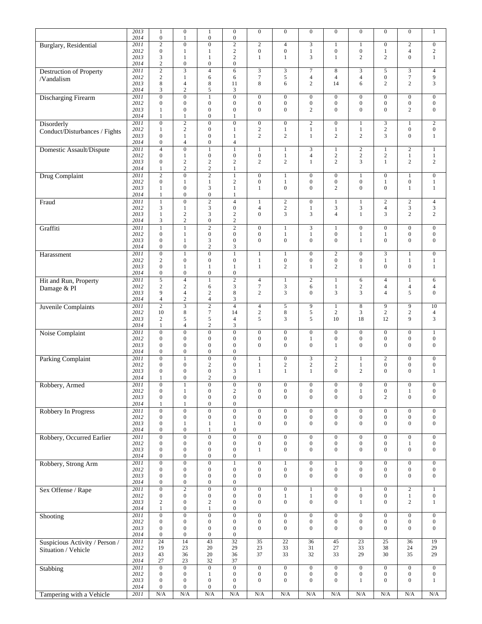|                                | 2013         | 1                                    | $\boldsymbol{0}$                     | $\mathbf{1}$                         | $\boldsymbol{0}$                     | $\boldsymbol{0}$                 | $\boldsymbol{0}$                     | $\boldsymbol{0}$                     | $\boldsymbol{0}$                     | $\boldsymbol{0}$                 | $\boldsymbol{0}$                     | $\boldsymbol{0}$      | $\mathbf{1}$                     |
|--------------------------------|--------------|--------------------------------------|--------------------------------------|--------------------------------------|--------------------------------------|----------------------------------|--------------------------------------|--------------------------------------|--------------------------------------|----------------------------------|--------------------------------------|-----------------------|----------------------------------|
|                                | 2014         | $\boldsymbol{0}$                     | $\mathbf{1}$                         | $\boldsymbol{0}$                     | $\boldsymbol{0}$                     |                                  |                                      |                                      |                                      |                                  |                                      |                       |                                  |
| Burglary, Residential          | 2011         | $\overline{c}$                       | $\mathbf{0}$                         | $\boldsymbol{0}$                     | $\overline{2}$                       | $\sqrt{2}$                       | $\overline{4}$                       | 3                                    | $\mathbf{1}$                         | $\mathbf{1}$                     | $\boldsymbol{0}$                     | $\overline{c}$        | $\boldsymbol{0}$                 |
|                                | 2012         | $\boldsymbol{0}$                     | 1                                    | $\mathbf{1}$                         | $\mathbf{2}$                         | $\boldsymbol{0}$                 | $\boldsymbol{0}$                     | $\mathbf{1}$                         | $\boldsymbol{0}$                     | $\boldsymbol{0}$                 | $\mathbf{1}$                         | $\overline{4}$        | $\overline{c}$                   |
|                                | 2013         | 3                                    | $\mathbf{1}$                         | $\mathbf{1}$                         | $\mathbf{2}$                         | 1                                | $\mathbf{1}$                         | 3                                    | $\mathbf{1}$                         | $\mathbf{2}$                     | $\mathbf{2}$                         | $\overline{0}$        | $\mathbf{1}$                     |
|                                | 2014         | $\mathbf{2}$                         | $\boldsymbol{0}$                     | $\boldsymbol{0}$                     | $\boldsymbol{0}$                     |                                  |                                      |                                      |                                      |                                  |                                      |                       |                                  |
| <b>Destruction of Property</b> | 2011         | $\overline{2}$                       | $\overline{3}$                       | $\overline{4}$                       | 6                                    | $\overline{3}$                   | $\overline{3}$                       | $\overline{7}$                       | 8                                    | 3                                | 5                                    | 3                     | $\overline{4}$                   |
| /Vandalism                     | 2012         | 2                                    | $\mathbf{1}$                         | 6                                    | 6                                    | $7\phantom{.0}$                  | 5                                    | 4                                    | $\overline{4}$                       | 4                                | $\boldsymbol{0}$                     | $\tau$                | 9                                |
|                                | 2013         | 8                                    | $\overline{4}$                       | 8                                    | 11                                   | $\,8\,$                          | 6                                    | $\overline{c}$                       | 14                                   | 6                                | $\overline{2}$                       | $\overline{2}$        | 3                                |
|                                | 2014         | 3                                    | $\mathbf{2}$                         | 5                                    | 3                                    |                                  |                                      |                                      |                                      |                                  |                                      |                       |                                  |
| <b>Discharging Firearm</b>     | 2011         | $\boldsymbol{0}$                     | $\boldsymbol{0}$                     | $\mathbf{1}$                         | $\boldsymbol{0}$                     | $\boldsymbol{0}$                 | $\boldsymbol{0}$                     | $\overline{0}$                       | $\mathbf{0}$                         | $\boldsymbol{0}$                 | $\boldsymbol{0}$                     | $\boldsymbol{0}$      | $\boldsymbol{0}$                 |
|                                | 2012         | $\boldsymbol{0}$                     | $\mathbf{0}$                         | $\boldsymbol{0}$                     | $\mathbf{0}$                         | $\boldsymbol{0}$                 | $\boldsymbol{0}$                     | $\boldsymbol{0}$                     | $\boldsymbol{0}$                     | $\boldsymbol{0}$                 | $\boldsymbol{0}$                     | $\boldsymbol{0}$      | $\boldsymbol{0}$                 |
|                                | 2013         | 1                                    | $\boldsymbol{0}$                     | $\boldsymbol{0}$                     | $\boldsymbol{0}$                     | $\mathbf{0}$                     | $\mathbf{0}$                         | $\mathbf{2}$                         | $\boldsymbol{0}$                     | $\overline{0}$                   | $\overline{0}$                       | $\overline{c}$        | $\boldsymbol{0}$                 |
|                                | 2014         | 1                                    | 1                                    | $\boldsymbol{0}$                     | 1                                    |                                  |                                      |                                      |                                      |                                  |                                      |                       |                                  |
| Disorderly                     | 2011         | $\overline{0}$                       | $\overline{2}$                       | $\overline{0}$                       | $\overline{0}$                       | $\mathbf{0}$                     | $\boldsymbol{0}$                     | $\overline{2}$                       | $\mathbf{0}$                         | $\mathbf{1}$                     | 3                                    | 1                     | $\overline{2}$                   |
| Conduct/Disturbances / Fights  | 2012         | $\mathbf{1}$                         | $\mathbf{2}$                         | $\boldsymbol{0}$                     | $\mathbf{1}$                         | $\overline{c}$<br>2              | $\,1$                                | $\,1$                                | $\,1$                                | $\mathbf{1}$<br>$\overline{2}$   | $\sqrt{2}$                           | $\boldsymbol{0}$      | $\boldsymbol{0}$                 |
|                                | 2013<br>2014 | $\boldsymbol{0}$<br>$\boldsymbol{0}$ | 1<br>$\overline{4}$                  | $\mathbf{0}$<br>$\boldsymbol{0}$     | $\mathbf{1}$<br>$\overline{4}$       |                                  | $\overline{c}$                       | 1                                    | $\overline{c}$                       |                                  | 3                                    | $\boldsymbol{0}$      | $\mathbf{1}$                     |
|                                | 2011         | $\overline{4}$                       | $\overline{0}$                       | $\mathbf{1}$                         | $\mathbf{1}$                         | $\mathbf{1}$                     | $\mathbf{1}$                         | 3                                    | $\mathbf{1}$                         | $\overline{c}$                   | $\mathbf{1}$                         | $\overline{c}$        | $\mathbf{1}$                     |
| Domestic Assault/Dispute       | 2012         | $\mathbf{0}$                         | $\mathbf{1}$                         | $\boldsymbol{0}$                     | $\boldsymbol{0}$                     | $\mathbf{0}$                     | $\,1\,$                              | $\overline{\mathcal{L}}$             | $\overline{c}$                       | $\mathbf{2}$                     | $\sqrt{2}$                           | $\mathbf{1}$          | $\,1$                            |
|                                | 2013         | $\boldsymbol{0}$                     | $\mathbf{2}$                         | $\sqrt{2}$                           | 2                                    | $\overline{c}$                   | $\overline{c}$                       | $\mathbf{1}$                         | $\overline{c}$                       | 3                                | $\mathbf{1}$                         | 2                     | 2                                |
|                                | 2014         | $\mathbf{1}$                         | $\mathbf{2}$                         | $\sqrt{2}$                           | $\mathbf{1}$                         |                                  |                                      |                                      |                                      |                                  |                                      |                       |                                  |
| Drug Complaint                 | 2011         | $\mathbf{2}$                         | $\boldsymbol{0}$                     | $\overline{2}$                       | $\mathbf{1}$                         | $\mathbf{0}$                     | $\mathbf{1}$                         | $\boldsymbol{0}$                     | $\mathbf{0}$                         | $\mathbf{1}$                     | $\mathbf{0}$                         | $\mathbf{1}$          | $\mathbf{0}$                     |
|                                | 2012         | $\mathbf{0}$                         | $\mathbf{1}$                         | $\mathbf{1}$                         | $\sqrt{2}$                           | $\boldsymbol{0}$                 | $\,1$                                | $\boldsymbol{0}$                     | $\boldsymbol{0}$                     | $\boldsymbol{0}$                 | $\mathbf{1}$                         | $\boldsymbol{0}$      | $\mathbf{1}$                     |
|                                | 2013         | 1                                    | $\boldsymbol{0}$                     | 3                                    | $\mathbf{1}$                         | $\mathbf{1}$                     | $\boldsymbol{0}$                     | $\boldsymbol{0}$                     | $\mathbf{2}$                         | $\overline{0}$                   | $\overline{0}$                       | 1                     | $\mathbf{1}$                     |
|                                | 2014         | $\mathbf{1}$                         | $\boldsymbol{0}$                     | $\boldsymbol{0}$                     | $\mathbf{1}$                         |                                  |                                      |                                      |                                      |                                  |                                      |                       |                                  |
| Fraud                          | 2011         | $\mathbf{1}$                         | $\overline{0}$                       | $\overline{2}$                       | $\overline{4}$                       | $\mathbf{1}$                     | $\overline{2}$                       | $\overline{0}$                       | $\mathbf{1}$                         | $\mathbf{1}$                     | $\overline{2}$                       | $\overline{2}$        | $\overline{4}$                   |
|                                | 2012         | 3                                    | 1                                    | $\mathfrak{Z}$                       | $\boldsymbol{0}$                     | $\overline{4}$                   | $\sqrt{2}$                           | 1                                    | 3                                    | 3                                | $\overline{4}$                       | 3                     | $\mathfrak{Z}$                   |
|                                | 2013         | $\mathbf{1}$                         | $\mathbf{2}$                         | 3                                    | $\mathbf{2}$                         | $\mathbf{0}$                     | 3                                    | 3                                    | $\overline{4}$                       | $\mathbf{1}$                     | 3                                    | $\overline{2}$        | $\mathbf{2}$                     |
|                                | 2014         | 3                                    | $\overline{c}$                       | $\boldsymbol{0}$                     | 2                                    |                                  |                                      |                                      |                                      |                                  |                                      |                       |                                  |
| Graffiti                       | 2011         | $\mathbf{1}$                         | $\mathbf{1}$                         | $\overline{2}$                       | $\overline{2}$                       | $\mathbf{0}$                     | $\mathbf{1}$                         | $\overline{3}$                       | $\mathbf{1}$                         | $\boldsymbol{0}$                 | $\mathbf{0}$                         | $\mathbf{0}$          | $\mathbf{0}$                     |
|                                | 2012         | $\boldsymbol{0}$                     | $\mathbf{1}$                         | $\boldsymbol{0}$                     | $\boldsymbol{0}$                     | $\boldsymbol{0}$                 | $\mathbf{1}$                         | $\mathbf{1}$                         | $\boldsymbol{0}$                     | $\mathbf{1}$                     | $\mathbf{1}$                         | $\boldsymbol{0}$      | $\boldsymbol{0}$                 |
|                                | 2013         | $\boldsymbol{0}$                     | $\mathbf{1}$                         | 3                                    | $\boldsymbol{0}$                     | $\mathbf{0}$                     | $\boldsymbol{0}$                     | $\boldsymbol{0}$                     | $\boldsymbol{0}$                     | $\mathbf{1}$                     | $\overline{0}$                       | $\mathbf{0}$          | $\boldsymbol{0}$                 |
|                                | 2014         | $\boldsymbol{0}$                     | $\boldsymbol{0}$                     | $\sqrt{2}$                           | $\mathfrak{Z}$                       |                                  |                                      |                                      |                                      |                                  |                                      |                       |                                  |
| Harassment                     | 2011         | $\overline{0}$                       | $\mathbf{1}$                         | $\overline{0}$                       | $\overline{1}$                       | $\mathbf{1}$                     | $\mathbf{1}$                         | $\overline{0}$                       | $\boldsymbol{2}$                     | $\overline{0}$                   | $\overline{3}$                       | $\mathbf{1}$          | $\overline{0}$                   |
|                                | 2012<br>2013 | $\mathfrak{2}$<br>$\mathbf{0}$       | $\mathbf{0}$<br>$\mathbf{1}$         | $\boldsymbol{0}$<br>$\mathbf{1}$     | $\mathbf{0}$<br>$\mathbf{1}$         | $\mathbf{1}$<br>$\mathbf{1}$     | $\boldsymbol{0}$<br>$\overline{c}$   | $\boldsymbol{0}$<br>$\mathbf{1}$     | $\boldsymbol{0}$<br>$\mathbf{2}$     | $\boldsymbol{0}$<br>$\mathbf{1}$ | $\mathbf{1}$<br>$\overline{0}$       | 1<br>$\overline{0}$   | $\mathbf{1}$<br>$\mathbf{1}$     |
|                                | 2014         | $\boldsymbol{0}$                     | $\boldsymbol{0}$                     | $\boldsymbol{0}$                     | $\boldsymbol{0}$                     |                                  |                                      |                                      |                                      |                                  |                                      |                       |                                  |
|                                | 2011         | $\overline{5}$                       | $\overline{4}$                       | $\mathbf{1}$                         | $\overline{2}$                       | $\overline{4}$                   | $\mathbf{1}$                         | $\overline{2}$                       | 1                                    | 6                                | $\overline{4}$                       | 1                     | 6                                |
| Hit and Run, Property          | 2012         | $\mathbf{2}$                         | $\mathbf{2}$                         | 6                                    | 3                                    | $7\phantom{.0}$                  | 3                                    | 6                                    | $\mathbf{1}$                         | $\mathbf{2}$                     | $\overline{4}$                       | $\overline{4}$        | $\overline{4}$                   |
| Damage & PI                    | 2013         | 9                                    | $\overline{4}$                       | $\mathbf{2}$                         | 8                                    | 2                                | 3                                    | $\overline{0}$                       | 3                                    | 3                                | $\overline{4}$                       | 5                     | $\boldsymbol{0}$                 |
|                                | 2014         | $\overline{4}$                       | $\sqrt{2}$                           | $\overline{4}$                       | $\mathfrak{Z}$                       |                                  |                                      |                                      |                                      |                                  |                                      |                       |                                  |
| Juvenile Complaints            | 2011         | $\sqrt{2}$                           | $\overline{\mathbf{3}}$              | $\overline{2}$                       | $\overline{4}$                       | $\overline{4}$                   | 5                                    | 9                                    | $\mathbf{1}$                         | 8                                | 9                                    | 9                     | 10                               |
|                                | 2012         | 10                                   | $\,$ 8 $\,$                          | $\tau$                               | 14                                   | $\overline{c}$                   | $\,$ 8 $\,$                          | 5                                    | $\overline{c}$                       | 3                                | $\overline{c}$                       | $\overline{c}$        | $\overline{4}$                   |
|                                | 2013         | $\mathbf{2}$                         | $\sqrt{5}$                           | 5                                    | $\overline{4}$                       | 5                                | 3                                    | 5                                    | 10                                   | 18                               | 12                                   | 9                     | $\mathfrak{Z}$                   |
|                                | 2014         | $\mathbf{1}$                         | $\overline{4}$                       | $\mathfrak{2}$                       | $\mathfrak{Z}$                       |                                  |                                      |                                      |                                      |                                  |                                      |                       |                                  |
| Noise Complaint                | 2011         | $\overline{0}$                       | $\overline{0}$                       | $\overline{0}$                       | $\overline{0}$                       | $\boldsymbol{0}$                 | $\boldsymbol{0}$                     | $\overline{0}$                       | $\mathbf{0}$                         | $\boldsymbol{0}$                 | $\boldsymbol{0}$                     | $\boldsymbol{0}$      | $\mathbf{1}$                     |
|                                | 2012         | $\boldsymbol{0}$                     | $\boldsymbol{0}$                     | $\boldsymbol{0}$                     | $\boldsymbol{0}$                     | $\boldsymbol{0}$                 | $\boldsymbol{0}$                     | $\mathbf{1}$                         | $\boldsymbol{0}$                     | $\boldsymbol{0}$                 | $\boldsymbol{0}$                     | $\mathbf{0}$          | $\boldsymbol{0}$                 |
|                                | 2013         | $\mathbf{0}$                         | $\mathbf{0}$                         | $\mathbf{0}$                         | $\boldsymbol{0}$                     | $\mathbf{0}$                     | $\mathbf{0}$                         | $\overline{0}$                       | $\mathbf{1}$                         | $\overline{0}$                   | $\mathbf{0}$                         | $\mathbf{0}$          | $\mathbf{0}$                     |
|                                | 2014         | $\mathbf{0}$                         | $\boldsymbol{0}$                     | $\boldsymbol{0}$                     | $\boldsymbol{0}$                     |                                  |                                      |                                      |                                      |                                  |                                      |                       |                                  |
| Parking Complaint              | 2011         | $\boldsymbol{0}$                     | $\mathbf{1}$                         | $\boldsymbol{0}$                     | $\boldsymbol{0}$                     | $\mathbf{1}$                     | $\boldsymbol{0}$                     | 3                                    | $\sqrt{2}$                           | $\mathbf{1}$                     | $\sqrt{2}$                           | $\boldsymbol{0}$      | $\boldsymbol{0}$                 |
|                                | 2012         | $\mathbf{0}$                         | $\boldsymbol{0}$                     | $\sqrt{2}$                           | $\boldsymbol{0}$                     | $\mathbf{1}$                     | $\sqrt{2}$                           | $\sqrt{2}$                           | $\sqrt{2}$                           | 1                                | $\boldsymbol{0}$                     | $\boldsymbol{0}$      | $\boldsymbol{0}$                 |
|                                | 2013         | $\boldsymbol{0}$                     | $\boldsymbol{0}$                     | $\boldsymbol{0}$                     | 3                                    | 1                                | $\mathbf{1}$                         | $\mathbf{1}$                         | $\mathbf{0}$                         | $\mathbf{2}$                     | $\mathbf{0}$                         | $\overline{0}$        | $\mathbf{1}$                     |
|                                | 2014         | 1                                    | $\mathbf{0}$                         | $\overline{c}$                       | $\mathbf{0}$                         |                                  |                                      |                                      |                                      |                                  |                                      |                       |                                  |
| Robbery, Armed                 | 2011         | $\boldsymbol{0}$                     | $\mathbf{1}$                         | $\boldsymbol{0}$                     | $\boldsymbol{0}$                     | $\mathbf{0}$                     | $\boldsymbol{0}$                     | $\boldsymbol{0}$                     | $\boldsymbol{0}$                     | $\boldsymbol{0}$                 | $\boldsymbol{0}$                     | $\boldsymbol{0}$      | $\boldsymbol{0}$                 |
|                                | 2012         | $\boldsymbol{0}$<br>$\boldsymbol{0}$ | $\mathbf{1}$<br>$\boldsymbol{0}$     | $\boldsymbol{0}$<br>$\boldsymbol{0}$ | $\sqrt{2}$<br>$\mathbf{0}$           | $\boldsymbol{0}$<br>$\mathbf{0}$ | $\boldsymbol{0}$<br>$\boldsymbol{0}$ | $\boldsymbol{0}$<br>$\boldsymbol{0}$ | $\boldsymbol{0}$<br>$\boldsymbol{0}$ | $\mathbf{1}$<br>$\overline{0}$   | $\boldsymbol{0}$<br>$\overline{c}$   | 1<br>$\boldsymbol{0}$ | $\boldsymbol{0}$<br>$\mathbf{0}$ |
|                                | 2013<br>2014 | 1                                    | $\mathbf{1}$                         | $\boldsymbol{0}$                     | $\boldsymbol{0}$                     |                                  |                                      |                                      |                                      |                                  |                                      |                       |                                  |
|                                | 2011         | $\boldsymbol{0}$                     | $\overline{0}$                       | $\overline{0}$                       | $\overline{0}$                       | $\boldsymbol{0}$                 | $\boldsymbol{0}$                     | $\boldsymbol{0}$                     | $\boldsymbol{0}$                     | $\boldsymbol{0}$                 | $\boldsymbol{0}$                     | $\boldsymbol{0}$      | $\boldsymbol{0}$                 |
| Robbery In Progress            | 2012         | $\boldsymbol{0}$                     | $\boldsymbol{0}$                     | $\boldsymbol{0}$                     | $\boldsymbol{0}$                     | $\boldsymbol{0}$                 | $\boldsymbol{0}$                     | $\boldsymbol{0}$                     | $\boldsymbol{0}$                     | $\boldsymbol{0}$                 | $\boldsymbol{0}$                     | $\boldsymbol{0}$      | $\boldsymbol{0}$                 |
|                                | 2013         | $\boldsymbol{0}$                     | $\mathbf{1}$                         | $\mathbf{1}$                         | $\mathbf{1}$                         | $\boldsymbol{0}$                 | $\boldsymbol{0}$                     | $\boldsymbol{0}$                     | $\boldsymbol{0}$                     | $\boldsymbol{0}$                 | $\boldsymbol{0}$                     | $\boldsymbol{0}$      | $\mathbf{0}$                     |
|                                | 2014         | $\boldsymbol{0}$                     | $\boldsymbol{0}$                     | $\mathbf{1}$                         | $\boldsymbol{0}$                     |                                  |                                      |                                      |                                      |                                  |                                      |                       |                                  |
| Robbery, Occurred Earlier      | 2011         | $\boldsymbol{0}$                     | $\boldsymbol{0}$                     | $\boldsymbol{0}$                     | $\boldsymbol{0}$                     | $\boldsymbol{0}$                 | $\boldsymbol{0}$                     | $\overline{0}$                       | $\mathbf{0}$                         | $\overline{0}$                   | $\boldsymbol{0}$                     | $\boldsymbol{0}$      | $\mathbf{0}$                     |
|                                | 2012         | $\boldsymbol{0}$                     | $\mathbf{0}$                         | $\boldsymbol{0}$                     | $\mathbf{0}$                         | $\boldsymbol{0}$                 | $\boldsymbol{0}$                     | $\boldsymbol{0}$                     | $\boldsymbol{0}$                     | $\boldsymbol{0}$                 | $\boldsymbol{0}$                     | 1                     | $\boldsymbol{0}$                 |
|                                | 2013         | $\boldsymbol{0}$                     | $\mathbf{0}$                         | $\boldsymbol{0}$                     | $\boldsymbol{0}$                     | 1                                | $\boldsymbol{0}$                     | $\boldsymbol{0}$                     | $\boldsymbol{0}$                     | $\boldsymbol{0}$                 | $\boldsymbol{0}$                     | $\boldsymbol{0}$      | $\boldsymbol{0}$                 |
|                                | 2014         | $\boldsymbol{0}$                     | $\boldsymbol{0}$                     | $\boldsymbol{0}$                     | $\boldsymbol{0}$                     |                                  |                                      |                                      |                                      |                                  |                                      |                       |                                  |
| Robbery, Strong Arm            | 2011         | $\boldsymbol{0}$                     | $\overline{0}$                       | $\overline{0}$                       | $\overline{1}$                       | $\overline{0}$                   | $\,1$                                | $\overline{0}$                       | $\mathbf{1}$                         | $\overline{0}$                   | $\overline{0}$                       | $\boldsymbol{0}$      | $\overline{0}$                   |
|                                | 2012         | $\boldsymbol{0}$                     | $\mathbf{0}$                         | $\boldsymbol{0}$                     | $\mathbf{0}$                         | $\mathbf{0}$                     | $\boldsymbol{0}$                     | $\boldsymbol{0}$                     | $\boldsymbol{0}$                     | $\boldsymbol{0}$                 | $\boldsymbol{0}$                     | $\boldsymbol{0}$      | $\boldsymbol{0}$                 |
|                                | 2013         | $\boldsymbol{0}$                     | $\boldsymbol{0}$                     | $\boldsymbol{0}$                     | $\boldsymbol{0}$                     | $\boldsymbol{0}$                 | $\mathbf{0}$                         | $\boldsymbol{0}$                     | $\boldsymbol{0}$                     | $\boldsymbol{0}$                 | $\boldsymbol{0}$                     | $\boldsymbol{0}$      | $\mathbf{0}$                     |
|                                | 2014         | $\boldsymbol{0}$                     | $\boldsymbol{0}$                     | $\boldsymbol{0}$                     | $\boldsymbol{0}$                     |                                  |                                      |                                      |                                      |                                  |                                      |                       |                                  |
| Sex Offense / Rape             | 2011         | $\boldsymbol{0}$                     | $\overline{2}$                       | $\boldsymbol{0}$                     | $\boldsymbol{0}$                     | $\boldsymbol{0}$                 | $\boldsymbol{0}$                     | $\mathbf{1}$                         | $\boldsymbol{0}$                     | $\mathbf{1}$                     | $\boldsymbol{0}$                     | $\sqrt{2}$            | $\mathbf{1}$                     |
|                                | 2012         | $\boldsymbol{0}$                     | $\boldsymbol{0}$                     | $\boldsymbol{0}$                     | $\mathbf{0}$                         | $\mathbf{0}$                     | $\mathbf{1}$                         | $\mathbf{1}$                         | $\boldsymbol{0}$<br>$\boldsymbol{0}$ | $\boldsymbol{0}$                 | $\boldsymbol{0}$<br>$\boldsymbol{0}$ | $\mathbf{1}$          | $\boldsymbol{0}$                 |
|                                | 2013<br>2014 | $\sqrt{2}$<br>1                      | $\boldsymbol{0}$<br>$\boldsymbol{0}$ | $\sqrt{2}$<br>$\mathbf{1}$           | $\boldsymbol{0}$<br>$\boldsymbol{0}$ | $\boldsymbol{0}$                 | $\boldsymbol{0}$                     | $\boldsymbol{0}$                     |                                      | $\mathbf{1}$                     |                                      | 2                     | $\mathbf{1}$                     |
|                                | 2011         | $\boldsymbol{0}$                     | $\overline{0}$                       | $\overline{0}$                       | $\overline{0}$                       | $\boldsymbol{0}$                 | $\mathbf{0}$                         | $\boldsymbol{0}$                     | $\boldsymbol{0}$                     | $\boldsymbol{0}$                 | $\mathbf{0}$                         | $\boldsymbol{0}$      | $\boldsymbol{0}$                 |
| Shooting                       | 2012         | $\boldsymbol{0}$                     | $\boldsymbol{0}$                     | $\boldsymbol{0}$                     | $\boldsymbol{0}$                     | $\boldsymbol{0}$                 | $\boldsymbol{0}$                     | $\boldsymbol{0}$                     | $\boldsymbol{0}$                     | $\boldsymbol{0}$                 | $\boldsymbol{0}$                     | $\boldsymbol{0}$      | $\boldsymbol{0}$                 |
|                                | 2013         | $\boldsymbol{0}$                     | $\boldsymbol{0}$                     | $\boldsymbol{0}$                     | $\boldsymbol{0}$                     | $\mathbf{0}$                     | $\mathbf{0}$                         | $\boldsymbol{0}$                     | $\boldsymbol{0}$                     | $\overline{0}$                   | $\overline{0}$                       | $\overline{0}$        | $\mathbf{0}$                     |
|                                | 2014         | $\boldsymbol{0}$                     | $\boldsymbol{0}$                     | $\boldsymbol{0}$                     | $\boldsymbol{0}$                     |                                  |                                      |                                      |                                      |                                  |                                      |                       |                                  |
| Suspicious Activity / Person / | 2011         | 24                                   | 14                                   | 43                                   | 32                                   | 35                               | $\overline{22}$                      | 36                                   | 45                                   | 23                               | 25                                   | 36                    | 19                               |
| Situation / Vehicle            | 2012         | 19                                   | 23                                   | 20                                   | 29                                   | 23                               | 33                                   | 31                                   | 27                                   | 33                               | 38                                   | 24                    | 29                               |
|                                | 2013         | 43                                   | 36                                   | 20                                   | 36                                   | 37                               | 33                                   | 32                                   | 33                                   | 29                               | 30                                   | 35                    | 29                               |
|                                | 2014         | 27                                   | 23                                   | 32                                   | 37                                   |                                  |                                      |                                      |                                      |                                  |                                      |                       |                                  |
| Stabbing                       | 2011         | $\boldsymbol{0}$                     | $\boldsymbol{0}$                     | $\overline{0}$                       | $\overline{0}$                       | $\boldsymbol{0}$                 | $\mathbf{0}$                         | $\overline{0}$                       | $\boldsymbol{0}$                     | $\boldsymbol{0}$                 | $\boldsymbol{0}$                     | $\overline{0}$        | $\mathbf{0}$                     |
|                                | 2012         | $\boldsymbol{0}$                     | $\boldsymbol{0}$                     | $\mathbf{1}$                         | $\boldsymbol{0}$                     | $\mathbf{0}$                     | $\boldsymbol{0}$                     | $\boldsymbol{0}$                     | $\boldsymbol{0}$                     | $\boldsymbol{0}$                 | $\boldsymbol{0}$                     | $\boldsymbol{0}$      | $\boldsymbol{0}$                 |
|                                | 2013         | $\boldsymbol{0}$                     | $\mathbf{0}$                         | $\mathbf{0}$                         | $\mathbf{0}$                         | $\mathbf{0}$                     | $\boldsymbol{0}$                     | $\boldsymbol{0}$                     | $\boldsymbol{0}$                     | 1                                | $\boldsymbol{0}$                     | 0                     | $\mathbf{1}$                     |
|                                | 2014         | $\boldsymbol{0}$                     | $\boldsymbol{0}$                     | $\boldsymbol{0}$                     | $\boldsymbol{0}$                     |                                  |                                      |                                      |                                      |                                  |                                      |                       |                                  |
| Tampering with a Vehicle       | 2011         | $\rm N/A$                            | N/A                                  | N/A                                  | N/A                                  | N/A                              | N/A                                  | N/A                                  | N/A                                  | N/A                              | N/A                                  | N/A                   | N/A                              |